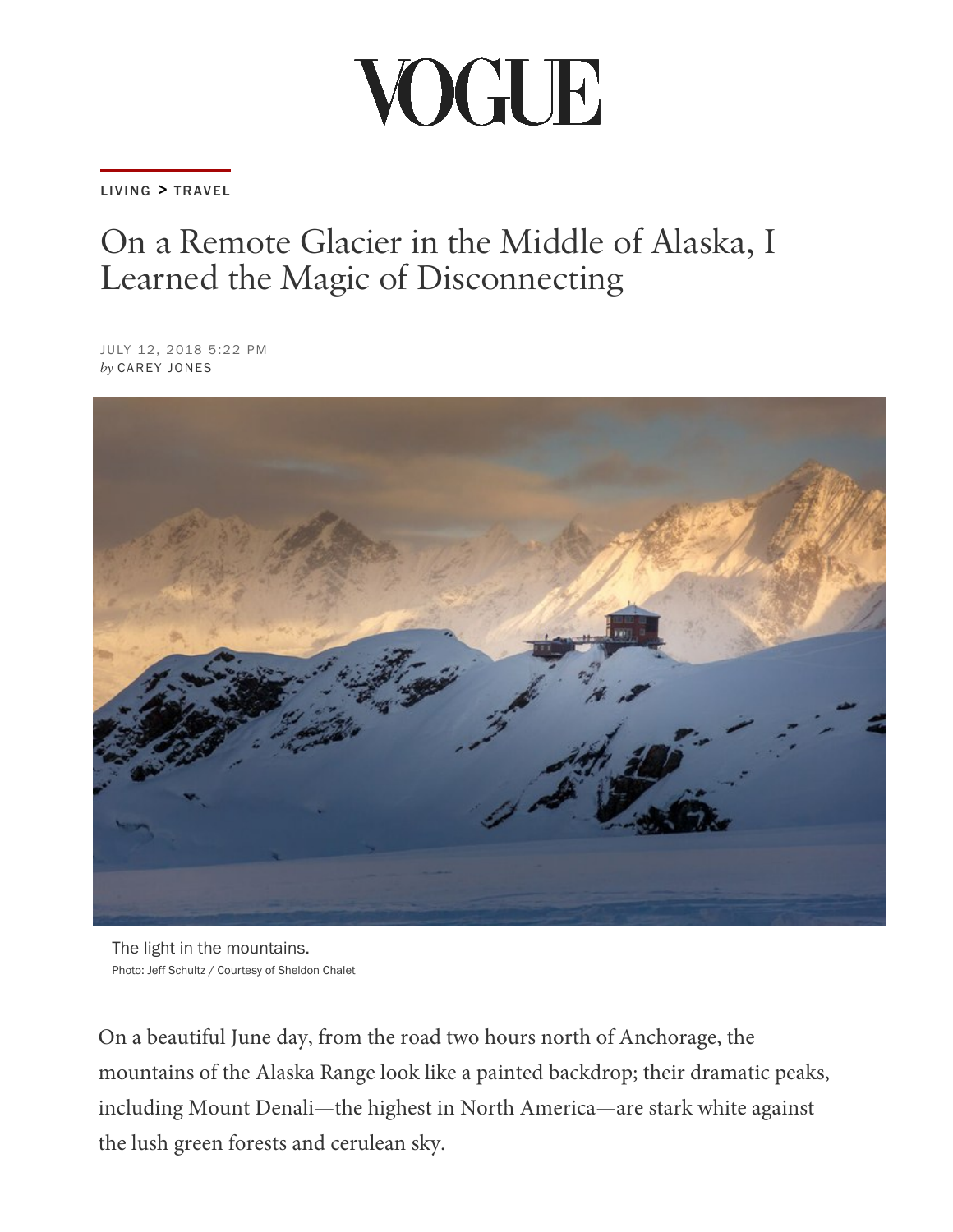## VOGUE

[LIVING](https://www.vogue.com/living/) > [TRAVEL](https://www.vogue.com/living/travel/)

## On a Remote Glacier in the Middle of Alaska, I Learned the Magic of Disconnecting

JULY 12, 2018 5:22 PM *by* CAREY JONES



The light in the mountains. Photo: Jeff Schultz / Courtesy of Sheldon Chalet

On a beautiful June day, from the road two hours north of Anchorage, the mountains of the Alaska Range look like a painted backdrop; their dramatic peaks, including Mount Denali—the highest in North America—are stark white against the lush green forests and cerulean sky.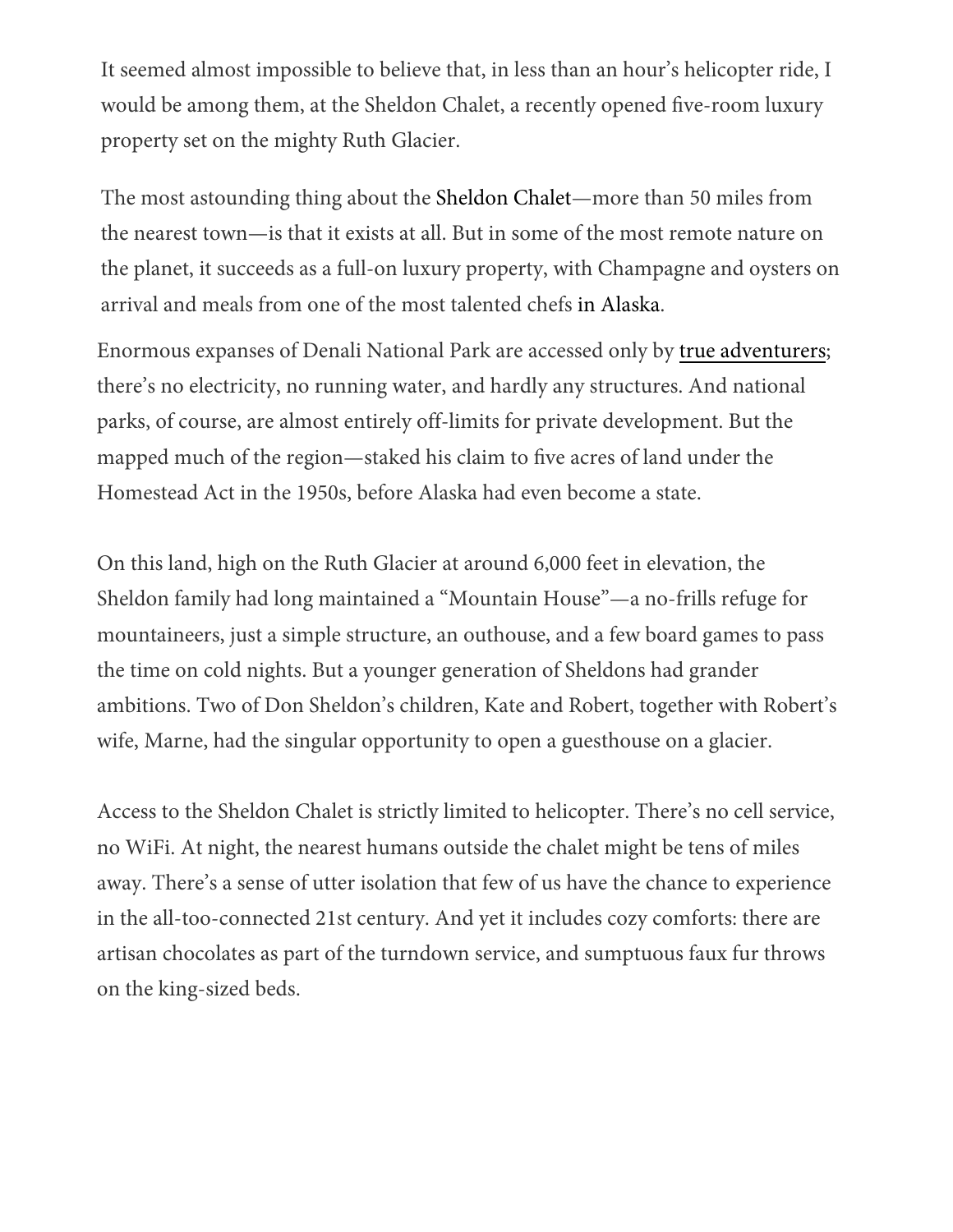It seemed almost impossible to beli[eve that, in les](https://www.vogue.com/?us_site=y)s than an hour's helicopter ride, I would be among them, at the Sheldon Chalet, a recently opened five-room luxury property set on the mighty Ruth Glacier.

The most astounding thing about the [Sheldon Chalet—](https://sheldonchalet.com/)more than 50 miles from the nearest town—is that it exists at all. But in some of the most remote nature on the planet, it succeeds as a full-on luxury property, with Champagne and oysters on arrival and meals from one of the most talented chefs in Alaska.

Enormous expanses of Denali National Park are accessed only by [true adventurers;](https://www.vogue.com/article/adventuremoon-honeymoon-adventure-travel-vacation-ideas) there's no electricity, no running water, and hardly any structures. And national parks, of course, are almost entirely off-limits for private development. But the mapped much of the region—staked his claim to five acres [of land u](https://www.vogue.com/article/southeast-alaska-dining-guide-james-beard-juneau-haines)nder the Homestead Act in the 1950s, before Alaska had even become a state.

On [this land, high on the Ruth Glacier at around 6,000 feet in elevation, the](https://thescene.com/watch/vogue/paloma-elsesser-model-beauty-secrets-video-glowing-skin-krispy-kreme-makeup-routine-tips-new-york)  Sheldon family had long maintained a "Mountain House"—a no-frills refuge for mountaineers, just a simple structure, an outhouse, and a few board games to pass the time on cold nights. But a younger generation of Sheldons had grander ambitions. Two of Don Sheldon's children, Kate and Robert, together with Robert's wife, Marne, had the singular opportunity to open a guesthouse on a glacier.

Access to the Sheldon Chalet is strictly limited to helicopter. There's no cell service, no WiFi. At night, the nearest humans outside the chalet might be tens of miles away. There's a sense of utter isolation that few of us have the chance to experience in the all-too-connected 21st century. And yet it includes cozy comforts: there are artisan chocolates as part of the turndown service, and sumptuous faux fur throws on the king-sized beds.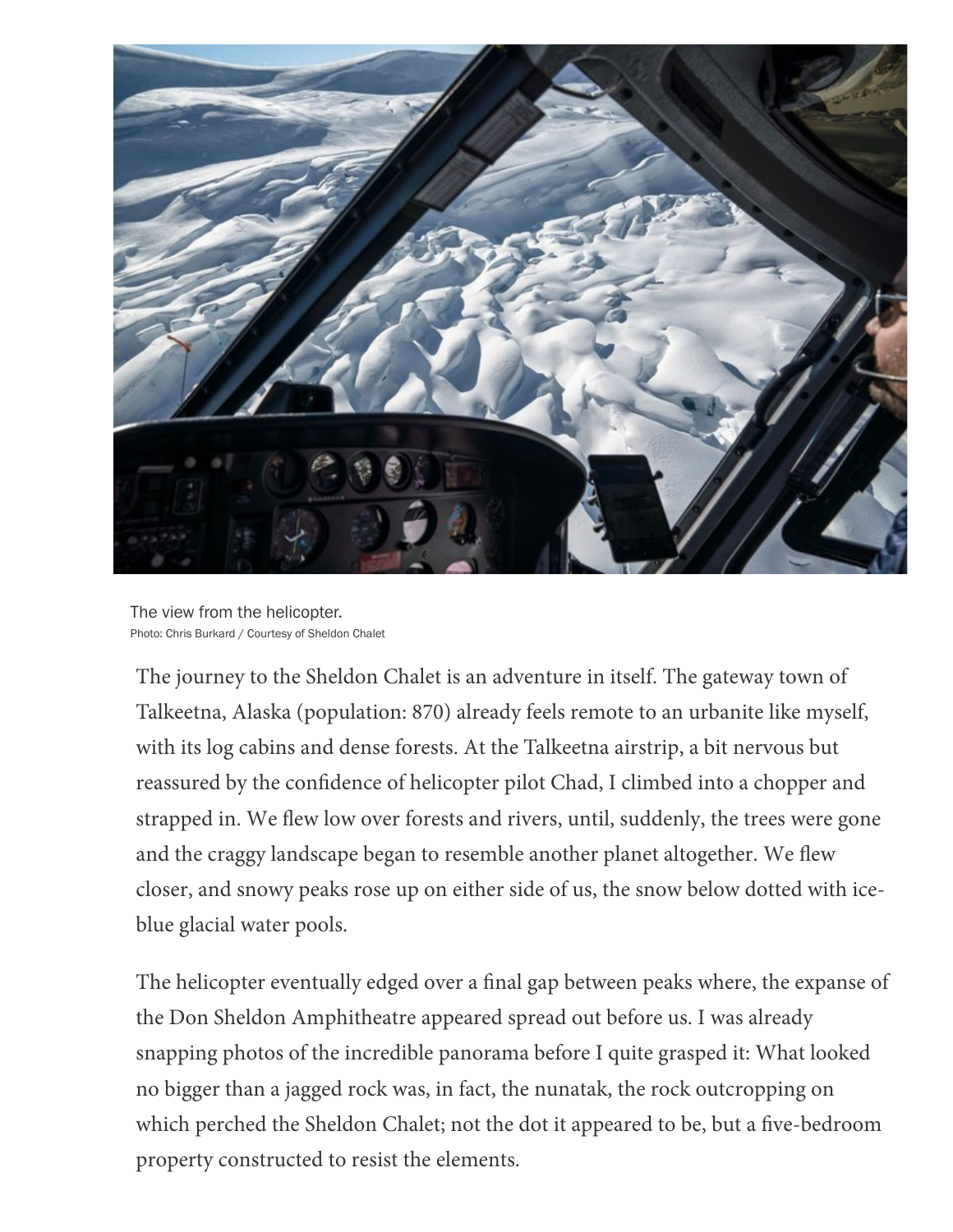

The view from the helicopter. Photo: Chris Burkard / Courtesy of Sheldon Chalet

The journey to the Sheldon Chalet is an adventure in itself. The gateway town of Talkeetna, Alaska (population: 870) already feels remote to an urbanite like myself, with its log cabins and dense forests. At the Talkeetna airstrip, a bit nervous but reassured by the confidence of helicopter pilot Chad, I climbed into a chopper and strapped in. We flew low over forests and rivers, until, suddenly, the trees were gone and the craggy landscape began to resemble another planet altogether. We flew closer, and snowy peaks rose up on either side of us, the snow below dotted with iceblue glacial water pools.

The helicopter eventually edged over a final gap between peaks where, the expanse of the Don Sheldon Amphitheatre appeared spread out before us. I was already snapping photos of the incredible panorama before I quite grasped it: What looked no bigger than a jagged rock was, in fact, the nunatak, the rock outcropping on which perched the Sheldon Chalet; not the dot it appeared to be, but a five-bedroom property constructed to resist the elements.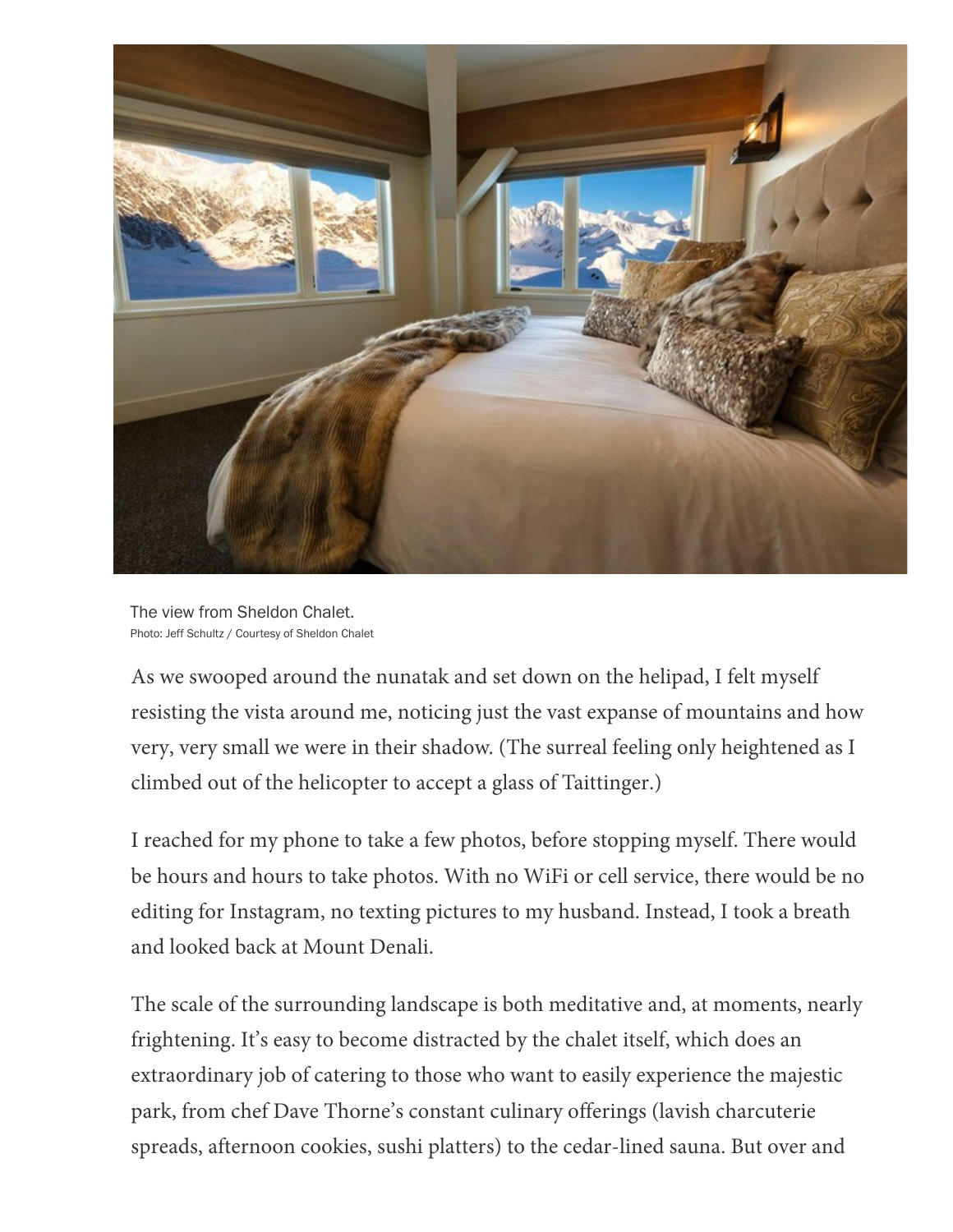

The view from Sheldon Chalet. Photo: Jeff Schultz / Courtesy of Sheldon Chalet

As we swooped around the nunatak and set down on the helipad, I felt myself resisting the vista around me, noticing just the vast expanse of mountains and how very, very small we were in their shadow. (The surreal feeling only heightened as I climbed out of the helicopter to accept a glass of Taittinger.)

I reached for my phone to take a few photos, before stopping myself. There would be hours and hours to take photos. With no WiFi or cell service, there would be no editing for Instagram, no texting pictures to my husband. Instead, I took a breath and looked back at Mount Denali.

The scale of the surrounding landscape is both meditative and, at moments, nearly frightening. It's easy to become distracted by the chalet itself, which does an extraordinary job of catering to those who want to easily experience the majestic park, from chef Dave Thorne's constant culinary offerings (lavish charcuterie spreads, afternoon cookies, sushi platters) to the cedar-lined sauna. But over and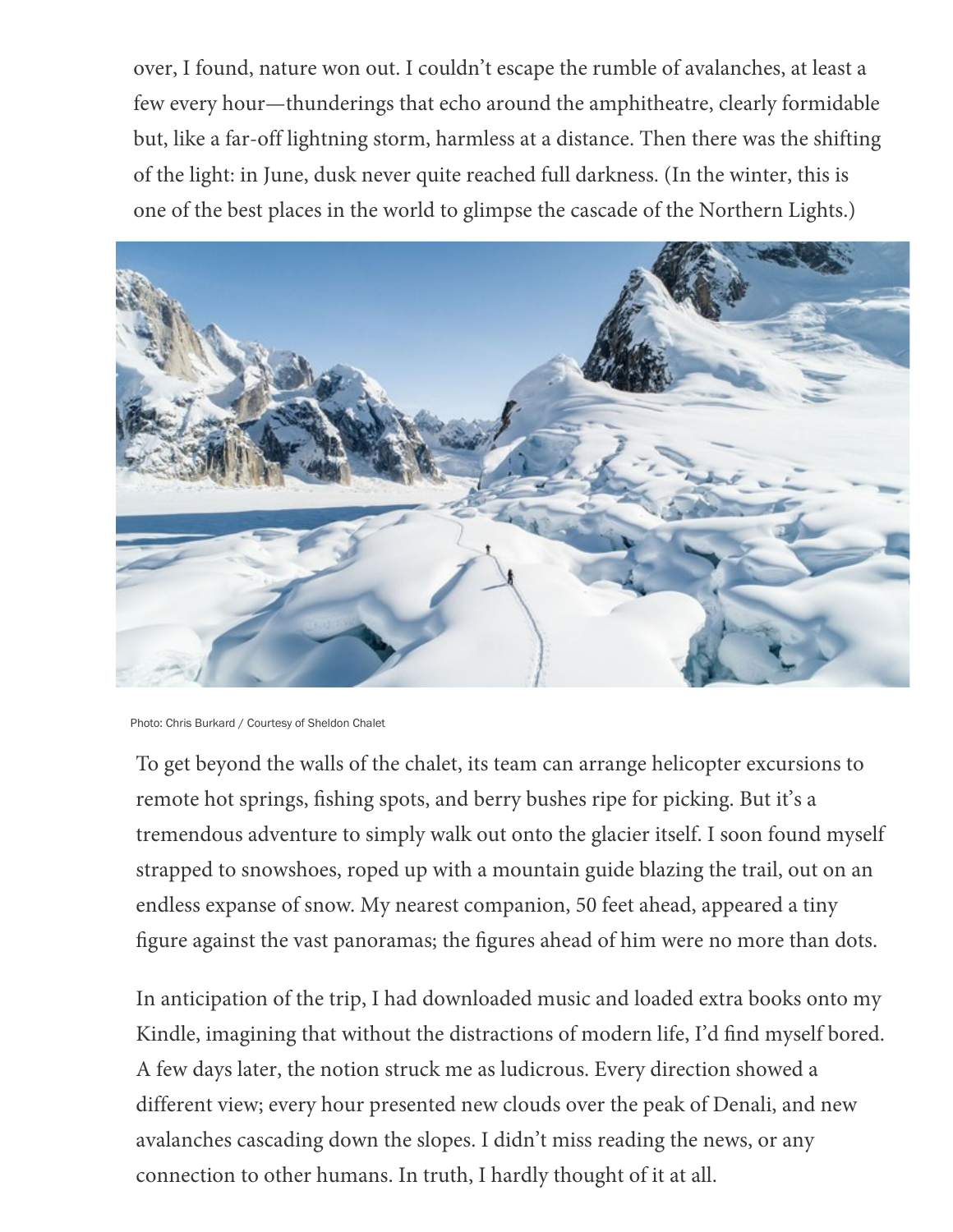over, I found, nature won out. I [couldn't esca](https://www.vogue.com/?us_site=y)pe the rumble of avalanches, at least a few every hour—thunderings that echo around the amphitheatre, clearly formidable but, like a far-off lightning storm, harmless at a distance. Then there was the shifting of the light: in June, dusk never quite reached full darkness. (In the winter, this is one of the best places in the world to glimpse the cascade of the Northern Lights.)



Photo: Chris Burkard / Courtesy of Sheldon Chalet

To get beyond the walls of the chalet, its team can arrange helicopter excursions to remote hot springs, fishing spots, and berry bushes ripe for picking. But it's a tremendous adventure to simply walk out onto the glacier itself. I soon found myself strapped to snowshoes, roped up with a mountain guide blazing the trail, out on an endless expanse of snow. My nearest companion, 50 feet ahead, appeared a tiny figure against the vast panoramas; the figures ahead of him were no more than dots.

In anticipation of the trip, I had downloaded music and loaded extra books onto my Kindle, imagining that without the distractions of modern life, I'd find myself bored. A few days later, the notion struck me as ludicrous. Every direction showed a different view; every hour presented new clouds over the peak of Denali, and new avalanches cascading down the slopes. I didn't miss reading the news, or any connection to other humans. In truth, I hardly thought of it at all.